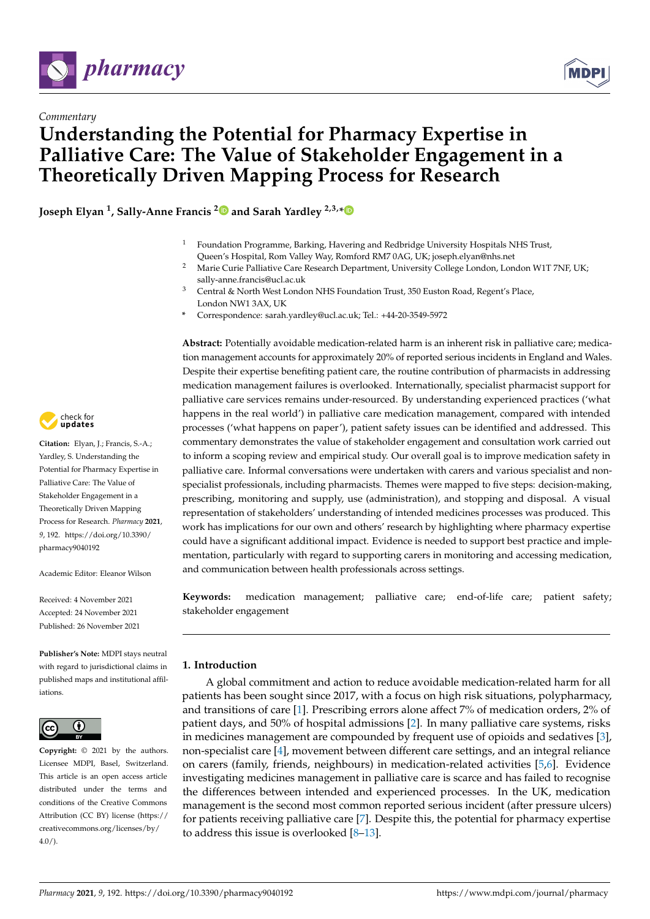



# **Understanding the Potential for Pharmacy Expertise in Palliative Care: The Value of Stakeholder Engagement in a Theoretically Driven Mapping Process for Research**

**Joseph Elyan <sup>1</sup> , Sally-Anne Francis [2](https://orcid.org/0000-0003-2384-1518) and Sarah Yardley 2,3,[\\*](https://orcid.org/0000-0002-1645-642X)**

- <sup>1</sup> Foundation Programme, Barking, Havering and Redbridge University Hospitals NHS Trust, Queen's Hospital, Rom Valley Way, Romford RM7 0AG, UK; joseph.elyan@nhs.net
- <sup>2</sup> Marie Curie Palliative Care Research Department, University College London, London W1T 7NF, UK; sally-anne.francis@ucl.ac.uk
- <sup>3</sup> Central & North West London NHS Foundation Trust, 350 Euston Road, Regent's Place, London NW1 3AX, UK
- **\*** Correspondence: sarah.yardley@ucl.ac.uk; Tel.: +44-20-3549-5972

**Abstract:** Potentially avoidable medication-related harm is an inherent risk in palliative care; medication management accounts for approximately 20% of reported serious incidents in England and Wales. Despite their expertise benefiting patient care, the routine contribution of pharmacists in addressing medication management failures is overlooked. Internationally, specialist pharmacist support for palliative care services remains under-resourced. By understanding experienced practices ('what happens in the real world') in palliative care medication management, compared with intended processes ('what happens on paper'), patient safety issues can be identified and addressed. This commentary demonstrates the value of stakeholder engagement and consultation work carried out to inform a scoping review and empirical study. Our overall goal is to improve medication safety in palliative care. Informal conversations were undertaken with carers and various specialist and nonspecialist professionals, including pharmacists. Themes were mapped to five steps: decision-making, prescribing, monitoring and supply, use (administration), and stopping and disposal. A visual representation of stakeholders' understanding of intended medicines processes was produced. This work has implications for our own and others' research by highlighting where pharmacy expertise could have a significant additional impact. Evidence is needed to support best practice and implementation, particularly with regard to supporting carers in monitoring and accessing medication, and communication between health professionals across settings.

**Keywords:** medication management; palliative care; end-of-life care; patient safety; stakeholder engagement

# **1. Introduction**

A global commitment and action to reduce avoidable medication-related harm for all patients has been sought since 2017, with a focus on high risk situations, polypharmacy, and transitions of care [\[1\]](#page-8-0). Prescribing errors alone affect 7% of medication orders, 2% of patient days, and 50% of hospital admissions [\[2\]](#page-8-1). In many palliative care systems, risks in medicines management are compounded by frequent use of opioids and sedatives [\[3\]](#page-8-2), non-specialist care [\[4\]](#page-8-3), movement between different care settings, and an integral reliance on carers (family, friends, neighbours) in medication-related activities [\[5](#page-8-4)[,6\]](#page-8-5). Evidence investigating medicines management in palliative care is scarce and has failed to recognise the differences between intended and experienced processes. In the UK, medication management is the second most common reported serious incident (after pressure ulcers) for patients receiving palliative care [\[7\]](#page-8-6). Despite this, the potential for pharmacy expertise to address this issue is overlooked [\[8–](#page-8-7)[13\]](#page-8-8).



**Citation:** Elyan, J.; Francis, S.-A.; Yardley, S. Understanding the Potential for Pharmacy Expertise in Palliative Care: The Value of Stakeholder Engagement in a Theoretically Driven Mapping Process for Research. *Pharmacy* **2021**, *9*, 192. [https://doi.org/10.3390/](https://doi.org/10.3390/pharmacy9040192) [pharmacy9040192](https://doi.org/10.3390/pharmacy9040192)

Academic Editor: Eleanor Wilson

Received: 4 November 2021 Accepted: 24 November 2021 Published: 26 November 2021

**Publisher's Note:** MDPI stays neutral with regard to jurisdictional claims in published maps and institutional affiliations.



**Copyright:** © 2021 by the authors. Licensee MDPI, Basel, Switzerland. This article is an open access article distributed under the terms and conditions of the Creative Commons Attribution (CC BY) license (https:/[/](https://creativecommons.org/licenses/by/4.0/) [creativecommons.org/licenses/by/](https://creativecommons.org/licenses/by/4.0/)  $4.0/$ ).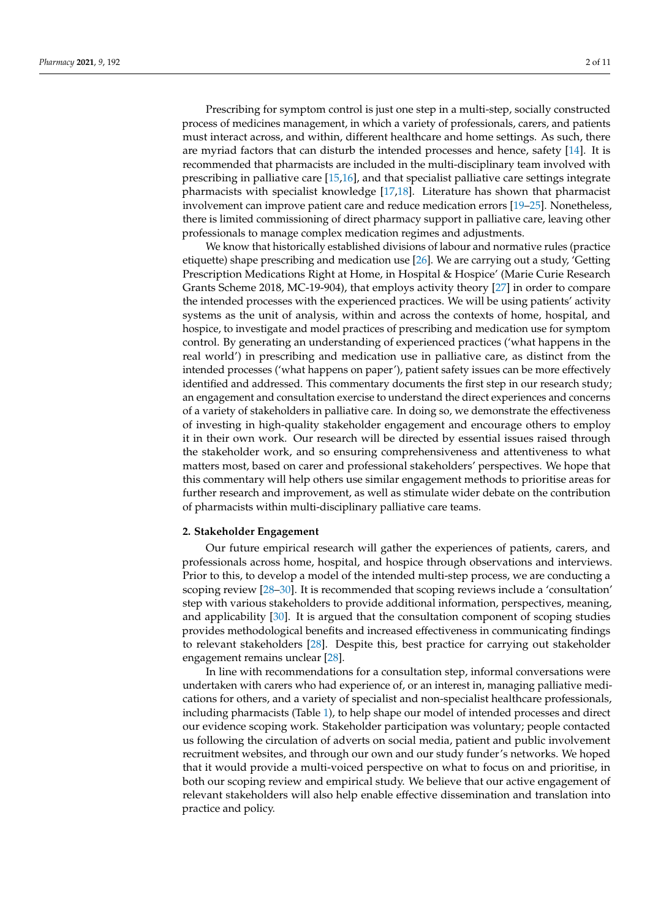Prescribing for symptom control is just one step in a multi-step, socially constructed process of medicines management, in which a variety of professionals, carers, and patients must interact across, and within, different healthcare and home settings. As such, there are myriad factors that can disturb the intended processes and hence, safety [\[14\]](#page-8-9). It is recommended that pharmacists are included in the multi-disciplinary team involved with prescribing in palliative care [\[15](#page-8-10)[,16\]](#page-8-11), and that specialist palliative care settings integrate pharmacists with specialist knowledge [\[17,](#page-8-12)[18\]](#page-8-13). Literature has shown that pharmacist involvement can improve patient care and reduce medication errors [\[19](#page-8-14)[–25\]](#page-8-15). Nonetheless, there is limited commissioning of direct pharmacy support in palliative care, leaving other professionals to manage complex medication regimes and adjustments.

We know that historically established divisions of labour and normative rules (practice etiquette) shape prescribing and medication use [\[26\]](#page-8-16). We are carrying out a study, 'Getting Prescription Medications Right at Home, in Hospital & Hospice' (Marie Curie Research Grants Scheme 2018, MC-19-904), that employs activity theory [\[27\]](#page-9-0) in order to compare the intended processes with the experienced practices. We will be using patients' activity systems as the unit of analysis, within and across the contexts of home, hospital, and hospice, to investigate and model practices of prescribing and medication use for symptom control. By generating an understanding of experienced practices ('what happens in the real world') in prescribing and medication use in palliative care, as distinct from the intended processes ('what happens on paper'), patient safety issues can be more effectively identified and addressed. This commentary documents the first step in our research study; an engagement and consultation exercise to understand the direct experiences and concerns of a variety of stakeholders in palliative care. In doing so, we demonstrate the effectiveness of investing in high-quality stakeholder engagement and encourage others to employ it in their own work. Our research will be directed by essential issues raised through the stakeholder work, and so ensuring comprehensiveness and attentiveness to what matters most, based on carer and professional stakeholders' perspectives. We hope that this commentary will help others use similar engagement methods to prioritise areas for further research and improvement, as well as stimulate wider debate on the contribution of pharmacists within multi-disciplinary palliative care teams.

#### **2. Stakeholder Engagement**

Our future empirical research will gather the experiences of patients, carers, and professionals across home, hospital, and hospice through observations and interviews. Prior to this, to develop a model of the intended multi-step process, we are conducting a scoping review [\[28](#page-9-1)[–30\]](#page-9-2). It is recommended that scoping reviews include a 'consultation' step with various stakeholders to provide additional information, perspectives, meaning, and applicability [\[30\]](#page-9-2). It is argued that the consultation component of scoping studies provides methodological benefits and increased effectiveness in communicating findings to relevant stakeholders [\[28\]](#page-9-1). Despite this, best practice for carrying out stakeholder engagement remains unclear [\[28\]](#page-9-1).

In line with recommendations for a consultation step, informal conversations were undertaken with carers who had experience of, or an interest in, managing palliative medications for others, and a variety of specialist and non-specialist healthcare professionals, including pharmacists (Table [1\)](#page-2-0), to help shape our model of intended processes and direct our evidence scoping work. Stakeholder participation was voluntary; people contacted us following the circulation of adverts on social media, patient and public involvement recruitment websites, and through our own and our study funder's networks. We hoped that it would provide a multi-voiced perspective on what to focus on and prioritise, in both our scoping review and empirical study. We believe that our active engagement of relevant stakeholders will also help enable effective dissemination and translation into practice and policy.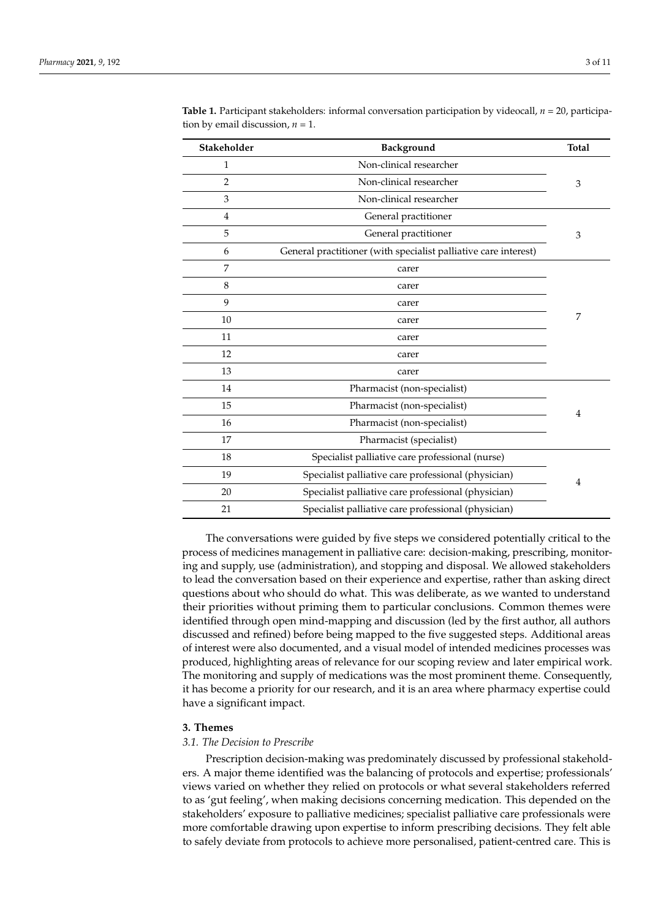| Stakeholder    | Background                                                      | <b>Total</b> |
|----------------|-----------------------------------------------------------------|--------------|
| $\mathbf{1}$   | Non-clinical researcher                                         | 3            |
| $\overline{2}$ | Non-clinical researcher                                         |              |
| 3              | Non-clinical researcher                                         |              |
| $\overline{4}$ | General practitioner                                            | 3            |
| 5              | General practitioner                                            |              |
| 6              | General practitioner (with specialist palliative care interest) |              |
| 7              | carer                                                           | 7            |
| 8              | carer                                                           |              |
| 9              | carer                                                           |              |
| 10             | carer                                                           |              |
| 11             | carer                                                           |              |
| 12             | carer                                                           |              |
| 13             | carer                                                           |              |
| 14             | Pharmacist (non-specialist)                                     | 4            |
| 15             | Pharmacist (non-specialist)                                     |              |
| 16             | Pharmacist (non-specialist)                                     |              |
| 17             | Pharmacist (specialist)                                         |              |

<span id="page-2-0"></span>**Table 1.** Participant stakeholders: informal conversation participation by videocall, *n* = 20, participation by email discussion,  $n = 1$ .

The conversations were guided by five steps we considered potentially critical to the process of medicines management in palliative care: decision-making, prescribing, monitoring and supply, use (administration), and stopping and disposal. We allowed stakeholders to lead the conversation based on their experience and expertise, rather than asking direct questions about who should do what. This was deliberate, as we wanted to understand their priorities without priming them to particular conclusions. Common themes were identified through open mind-mapping and discussion (led by the first author, all authors discussed and refined) before being mapped to the five suggested steps. Additional areas of interest were also documented, and a visual model of intended medicines processes was produced, highlighting areas of relevance for our scoping review and later empirical work. The monitoring and supply of medications was the most prominent theme. Consequently, it has become a priority for our research, and it is an area where pharmacy expertise could have a significant impact.

18 Specialist palliative care professional (nurse)

19 Specialist palliative care professional (physician) 20 Specialist palliative care professional (physician) 21 Specialist palliative care professional (physician)

#### **3. Themes**

#### *3.1. The Decision to Prescribe*

Prescription decision-making was predominately discussed by professional stakeholders. A major theme identified was the balancing of protocols and expertise; professionals' views varied on whether they relied on protocols or what several stakeholders referred to as 'gut feeling', when making decisions concerning medication. This depended on the stakeholders' exposure to palliative medicines; specialist palliative care professionals were more comfortable drawing upon expertise to inform prescribing decisions. They felt able to safely deviate from protocols to achieve more personalised, patient-centred care. This is

4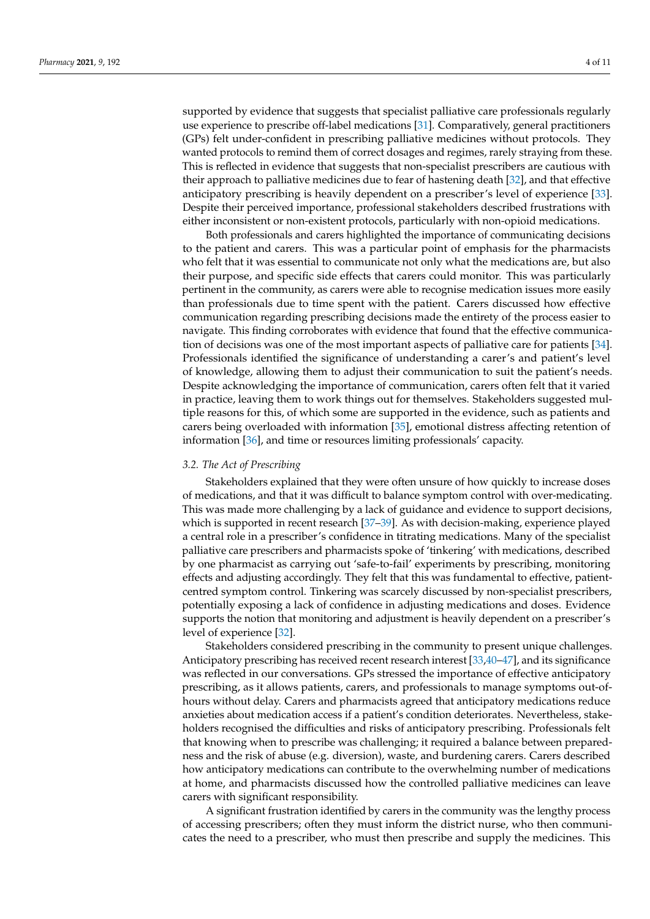supported by evidence that suggests that specialist palliative care professionals regularly use experience to prescribe off-label medications [\[31\]](#page-9-3). Comparatively, general practitioners (GPs) felt under-confident in prescribing palliative medicines without protocols. They wanted protocols to remind them of correct dosages and regimes, rarely straying from these. This is reflected in evidence that suggests that non-specialist prescribers are cautious with their approach to palliative medicines due to fear of hastening death [\[32\]](#page-9-4), and that effective anticipatory prescribing is heavily dependent on a prescriber's level of experience [\[33\]](#page-9-5). Despite their perceived importance, professional stakeholders described frustrations with either inconsistent or non-existent protocols, particularly with non-opioid medications.

Both professionals and carers highlighted the importance of communicating decisions to the patient and carers. This was a particular point of emphasis for the pharmacists who felt that it was essential to communicate not only what the medications are, but also their purpose, and specific side effects that carers could monitor. This was particularly pertinent in the community, as carers were able to recognise medication issues more easily than professionals due to time spent with the patient. Carers discussed how effective communication regarding prescribing decisions made the entirety of the process easier to navigate. This finding corroborates with evidence that found that the effective communication of decisions was one of the most important aspects of palliative care for patients [\[34\]](#page-9-6). Professionals identified the significance of understanding a carer's and patient's level of knowledge, allowing them to adjust their communication to suit the patient's needs. Despite acknowledging the importance of communication, carers often felt that it varied in practice, leaving them to work things out for themselves. Stakeholders suggested multiple reasons for this, of which some are supported in the evidence, such as patients and carers being overloaded with information [\[35\]](#page-9-7), emotional distress affecting retention of information [\[36\]](#page-9-8), and time or resources limiting professionals' capacity.

#### *3.2. The Act of Prescribing*

Stakeholders explained that they were often unsure of how quickly to increase doses of medications, and that it was difficult to balance symptom control with over-medicating. This was made more challenging by a lack of guidance and evidence to support decisions, which is supported in recent research [\[37–](#page-9-9)[39\]](#page-9-10). As with decision-making, experience played a central role in a prescriber's confidence in titrating medications. Many of the specialist palliative care prescribers and pharmacists spoke of 'tinkering' with medications, described by one pharmacist as carrying out 'safe-to-fail' experiments by prescribing, monitoring effects and adjusting accordingly. They felt that this was fundamental to effective, patientcentred symptom control. Tinkering was scarcely discussed by non-specialist prescribers, potentially exposing a lack of confidence in adjusting medications and doses. Evidence supports the notion that monitoring and adjustment is heavily dependent on a prescriber's level of experience [\[32\]](#page-9-4).

Stakeholders considered prescribing in the community to present unique challenges. Anticipatory prescribing has received recent research interest [\[33](#page-9-5)[,40](#page-9-11)[–47\]](#page-9-12), and its significance was reflected in our conversations. GPs stressed the importance of effective anticipatory prescribing, as it allows patients, carers, and professionals to manage symptoms out-ofhours without delay. Carers and pharmacists agreed that anticipatory medications reduce anxieties about medication access if a patient's condition deteriorates. Nevertheless, stakeholders recognised the difficulties and risks of anticipatory prescribing. Professionals felt that knowing when to prescribe was challenging; it required a balance between preparedness and the risk of abuse (e.g. diversion), waste, and burdening carers. Carers described how anticipatory medications can contribute to the overwhelming number of medications at home, and pharmacists discussed how the controlled palliative medicines can leave carers with significant responsibility.

A significant frustration identified by carers in the community was the lengthy process of accessing prescribers; often they must inform the district nurse, who then communicates the need to a prescriber, who must then prescribe and supply the medicines. This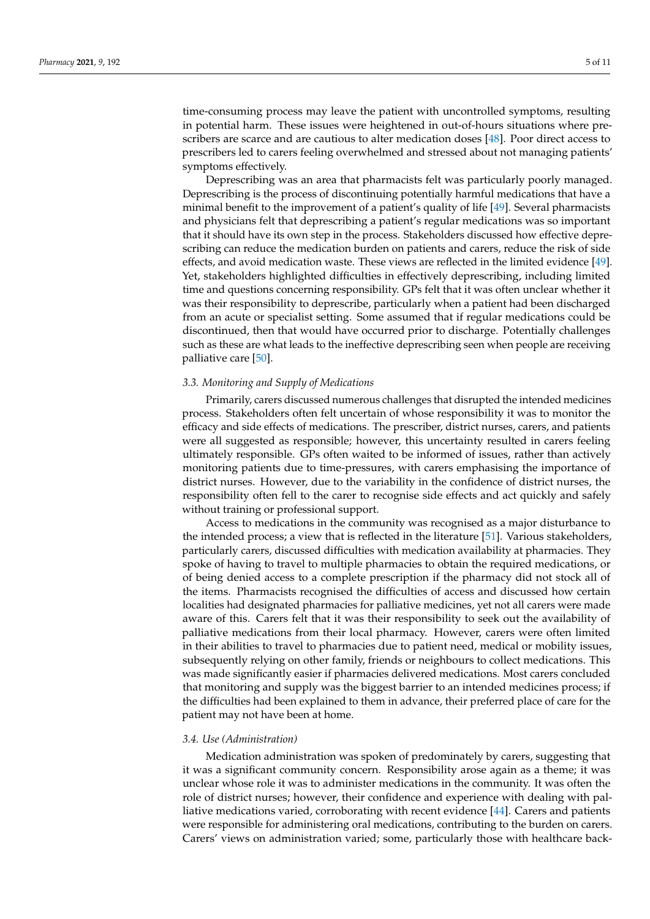time-consuming process may leave the patient with uncontrolled symptoms, resulting

in potential harm. These issues were heightened in out-of-hours situations where prescribers are scarce and are cautious to alter medication doses [\[48\]](#page-9-13). Poor direct access to prescribers led to carers feeling overwhelmed and stressed about not managing patients' symptoms effectively.

Deprescribing was an area that pharmacists felt was particularly poorly managed. Deprescribing is the process of discontinuing potentially harmful medications that have a minimal benefit to the improvement of a patient's quality of life [\[49\]](#page-9-14). Several pharmacists and physicians felt that deprescribing a patient's regular medications was so important that it should have its own step in the process. Stakeholders discussed how effective deprescribing can reduce the medication burden on patients and carers, reduce the risk of side effects, and avoid medication waste. These views are reflected in the limited evidence [\[49\]](#page-9-14). Yet, stakeholders highlighted difficulties in effectively deprescribing, including limited time and questions concerning responsibility. GPs felt that it was often unclear whether it was their responsibility to deprescribe, particularly when a patient had been discharged from an acute or specialist setting. Some assumed that if regular medications could be discontinued, then that would have occurred prior to discharge. Potentially challenges such as these are what leads to the ineffective deprescribing seen when people are receiving palliative care [\[50\]](#page-9-15).

# *3.3. Monitoring and Supply of Medications*

Primarily, carers discussed numerous challenges that disrupted the intended medicines process. Stakeholders often felt uncertain of whose responsibility it was to monitor the efficacy and side effects of medications. The prescriber, district nurses, carers, and patients were all suggested as responsible; however, this uncertainty resulted in carers feeling ultimately responsible. GPs often waited to be informed of issues, rather than actively monitoring patients due to time-pressures, with carers emphasising the importance of district nurses. However, due to the variability in the confidence of district nurses, the responsibility often fell to the carer to recognise side effects and act quickly and safely without training or professional support.

Access to medications in the community was recognised as a major disturbance to the intended process; a view that is reflected in the literature [\[51\]](#page-9-16). Various stakeholders, particularly carers, discussed difficulties with medication availability at pharmacies. They spoke of having to travel to multiple pharmacies to obtain the required medications, or of being denied access to a complete prescription if the pharmacy did not stock all of the items. Pharmacists recognised the difficulties of access and discussed how certain localities had designated pharmacies for palliative medicines, yet not all carers were made aware of this. Carers felt that it was their responsibility to seek out the availability of palliative medications from their local pharmacy. However, carers were often limited in their abilities to travel to pharmacies due to patient need, medical or mobility issues, subsequently relying on other family, friends or neighbours to collect medications. This was made significantly easier if pharmacies delivered medications. Most carers concluded that monitoring and supply was the biggest barrier to an intended medicines process; if the difficulties had been explained to them in advance, their preferred place of care for the patient may not have been at home.

### *3.4. Use (Administration)*

Medication administration was spoken of predominately by carers, suggesting that it was a significant community concern. Responsibility arose again as a theme; it was unclear whose role it was to administer medications in the community. It was often the role of district nurses; however, their confidence and experience with dealing with palliative medications varied, corroborating with recent evidence [\[44\]](#page-9-17). Carers and patients were responsible for administering oral medications, contributing to the burden on carers. Carers' views on administration varied; some, particularly those with healthcare back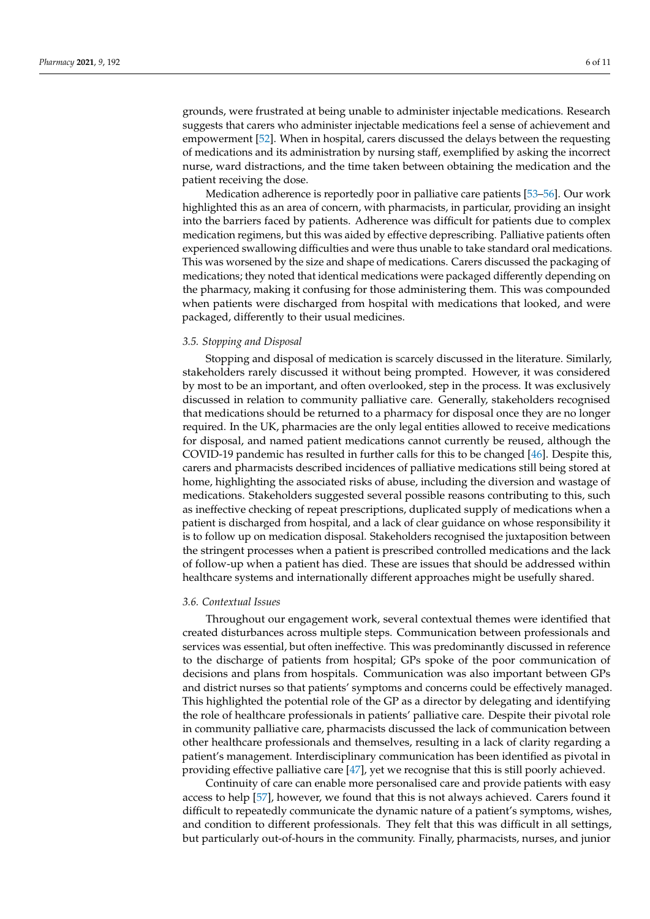grounds, were frustrated at being unable to administer injectable medications. Research suggests that carers who administer injectable medications feel a sense of achievement and empowerment [\[52\]](#page-9-18). When in hospital, carers discussed the delays between the requesting of medications and its administration by nursing staff, exemplified by asking the incorrect nurse, ward distractions, and the time taken between obtaining the medication and the patient receiving the dose.

Medication adherence is reportedly poor in palliative care patients [\[53–](#page-9-19)[56\]](#page-10-0). Our work highlighted this as an area of concern, with pharmacists, in particular, providing an insight into the barriers faced by patients. Adherence was difficult for patients due to complex medication regimens, but this was aided by effective deprescribing. Palliative patients often experienced swallowing difficulties and were thus unable to take standard oral medications. This was worsened by the size and shape of medications. Carers discussed the packaging of medications; they noted that identical medications were packaged differently depending on the pharmacy, making it confusing for those administering them. This was compounded when patients were discharged from hospital with medications that looked, and were packaged, differently to their usual medicines.

### *3.5. Stopping and Disposal*

Stopping and disposal of medication is scarcely discussed in the literature. Similarly, stakeholders rarely discussed it without being prompted. However, it was considered by most to be an important, and often overlooked, step in the process. It was exclusively discussed in relation to community palliative care. Generally, stakeholders recognised that medications should be returned to a pharmacy for disposal once they are no longer required. In the UK, pharmacies are the only legal entities allowed to receive medications for disposal, and named patient medications cannot currently be reused, although the COVID-19 pandemic has resulted in further calls for this to be changed [\[46\]](#page-9-20). Despite this, carers and pharmacists described incidences of palliative medications still being stored at home, highlighting the associated risks of abuse, including the diversion and wastage of medications. Stakeholders suggested several possible reasons contributing to this, such as ineffective checking of repeat prescriptions, duplicated supply of medications when a patient is discharged from hospital, and a lack of clear guidance on whose responsibility it is to follow up on medication disposal. Stakeholders recognised the juxtaposition between the stringent processes when a patient is prescribed controlled medications and the lack of follow-up when a patient has died. These are issues that should be addressed within healthcare systems and internationally different approaches might be usefully shared.

#### *3.6. Contextual Issues*

Throughout our engagement work, several contextual themes were identified that created disturbances across multiple steps. Communication between professionals and services was essential, but often ineffective. This was predominantly discussed in reference to the discharge of patients from hospital; GPs spoke of the poor communication of decisions and plans from hospitals. Communication was also important between GPs and district nurses so that patients' symptoms and concerns could be effectively managed. This highlighted the potential role of the GP as a director by delegating and identifying the role of healthcare professionals in patients' palliative care. Despite their pivotal role in community palliative care, pharmacists discussed the lack of communication between other healthcare professionals and themselves, resulting in a lack of clarity regarding a patient's management. Interdisciplinary communication has been identified as pivotal in providing effective palliative care [\[47\]](#page-9-12), yet we recognise that this is still poorly achieved.

Continuity of care can enable more personalised care and provide patients with easy access to help [\[57\]](#page-10-1), however, we found that this is not always achieved. Carers found it difficult to repeatedly communicate the dynamic nature of a patient's symptoms, wishes, and condition to different professionals. They felt that this was difficult in all settings, but particularly out-of-hours in the community. Finally, pharmacists, nurses, and junior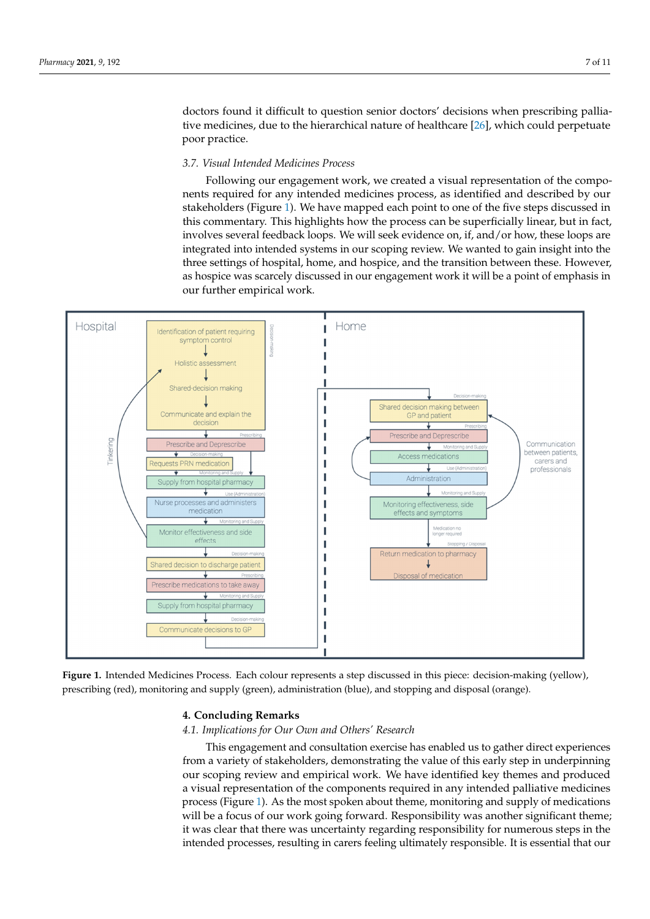doctors found it difficult to question senior doctors' decisions when prescribing pallia-tive medicines, due to the hierarchical nature of healthcare [\[26\]](#page-8-16), which could perpetuate poor practice. practice.

# *3.7. Visual Intended Medicines Process 3.7. Visual Intended Medicines Process*

Following our engagement work, we created a visual representation of the compo-Following our engagement work, we created a visual representation of the components required for any intended medicines process, as identified and described by our nents required for any intended medicines process, as identified and described by our stakeholders (Figure 1). We have mapped each point to one of the five steps discussed in stakeholders (Figure [1\)](#page-6-0). We have mapped each point to one of the five steps discussed in this commentary. This highlights how the process can be superficially linear, but in fact, this commentary. This highlights how the process can be superficially linear, but in fact, involves several feedback loops. We will seek evidence on, if, and/or how, these loops are integrated into intended systems in our scoping review. We wanted to gain insight into the three settings of hospital, home, and hospice, and the transition between these. However, as hospice was scarcely discussed in our engagement work it will be a point of emphasis in our further empirical work.

<span id="page-6-0"></span>

Figure 1. Intended Medicines Process. Each colour represents a step discussed in this piece: decision-making (yellow), prescribing (red), monitoring and supply (green), administration (blue), and stopping and disposal (orange). prescribing (red), monitoring and supply (green), administration (blue), and stopping and disposal (orange).

# **4. Concluding Remarks 4. Concluding Remarks**

# *4.1. Implications for Our Own and Others' Research 4.1. Implications for Our Own and Others' Research*

This engagement and consultation exercise has enabled us to gather direct experiences from a variety of stakeholders, demonstrating the value of this early step in underpinning our scoping review and empirical work. We have identified key themes and produced a visual representation of the components required in any intended palliative medicines process ([Fig](#page-6-0)ure 1). As the most spoken about theme, monitoring and supply of medications will be a focus of our work going forward. Responsibility was another significant theme; will be a focus of our work going forward. Responsibility was another significant theme;<br>it was clear that there was uncertainty regarding responsibility for numerous steps in the intended processes, resulting in carers feeling ultimately responsible. It is essential that our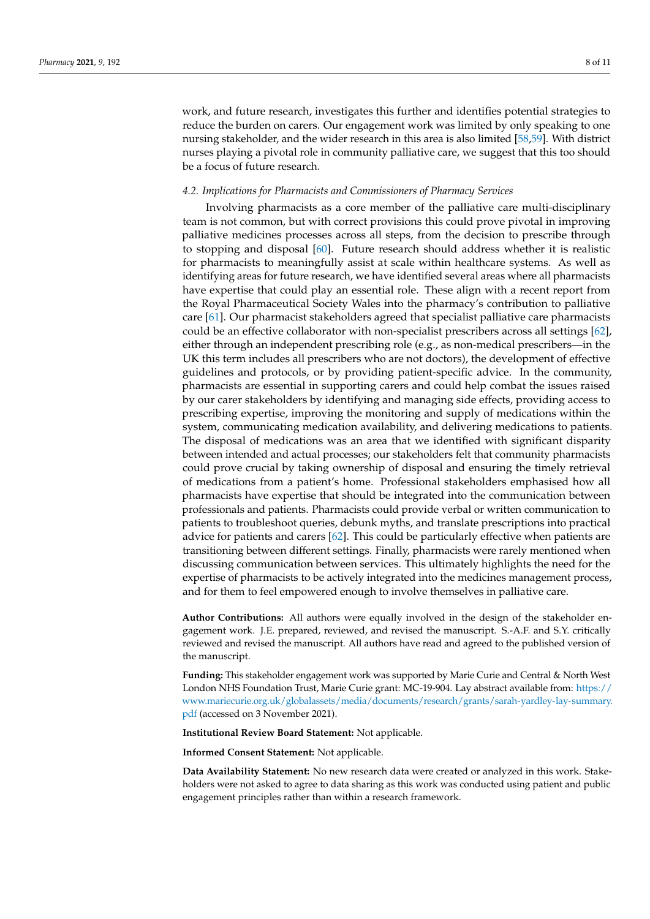work, and future research, investigates this further and identifies potential strategies to reduce the burden on carers. Our engagement work was limited by only speaking to one nursing stakeholder, and the wider research in this area is also limited [\[58](#page-10-2)[,59\]](#page-10-3). With district nurses playing a pivotal role in community palliative care, we suggest that this too should be a focus of future research.

# *4.2. Implications for Pharmacists and Commissioners of Pharmacy Services*

Involving pharmacists as a core member of the palliative care multi-disciplinary team is not common, but with correct provisions this could prove pivotal in improving palliative medicines processes across all steps, from the decision to prescribe through to stopping and disposal [\[60\]](#page-10-4). Future research should address whether it is realistic for pharmacists to meaningfully assist at scale within healthcare systems. As well as identifying areas for future research, we have identified several areas where all pharmacists have expertise that could play an essential role. These align with a recent report from the Royal Pharmaceutical Society Wales into the pharmacy's contribution to palliative care [\[61\]](#page-10-5). Our pharmacist stakeholders agreed that specialist palliative care pharmacists could be an effective collaborator with non-specialist prescribers across all settings [\[62\]](#page-10-6), either through an independent prescribing role (e.g., as non-medical prescribers—in the UK this term includes all prescribers who are not doctors), the development of effective guidelines and protocols, or by providing patient-specific advice. In the community, pharmacists are essential in supporting carers and could help combat the issues raised by our carer stakeholders by identifying and managing side effects, providing access to prescribing expertise, improving the monitoring and supply of medications within the system, communicating medication availability, and delivering medications to patients. The disposal of medications was an area that we identified with significant disparity between intended and actual processes; our stakeholders felt that community pharmacists could prove crucial by taking ownership of disposal and ensuring the timely retrieval of medications from a patient's home. Professional stakeholders emphasised how all pharmacists have expertise that should be integrated into the communication between professionals and patients. Pharmacists could provide verbal or written communication to patients to troubleshoot queries, debunk myths, and translate prescriptions into practical advice for patients and carers [\[62\]](#page-10-6). This could be particularly effective when patients are transitioning between different settings. Finally, pharmacists were rarely mentioned when discussing communication between services. This ultimately highlights the need for the expertise of pharmacists to be actively integrated into the medicines management process, and for them to feel empowered enough to involve themselves in palliative care.

**Author Contributions:** All authors were equally involved in the design of the stakeholder engagement work. J.E. prepared, reviewed, and revised the manuscript. S.-A.F. and S.Y. critically reviewed and revised the manuscript. All authors have read and agreed to the published version of the manuscript.

**Funding:** This stakeholder engagement work was supported by Marie Curie and Central & North West London NHS Foundation Trust, Marie Curie grant: MC-19-904. Lay abstract available from: [https://](https://www.mariecurie.org.uk/globalassets/media/documents/research/grants/sarah-yardley-lay-summary.pdf) [www.mariecurie.org.uk/globalassets/media/documents/research/grants/sarah-yardley-lay-summary.](https://www.mariecurie.org.uk/globalassets/media/documents/research/grants/sarah-yardley-lay-summary.pdf) [pdf](https://www.mariecurie.org.uk/globalassets/media/documents/research/grants/sarah-yardley-lay-summary.pdf) (accessed on 3 November 2021).

**Institutional Review Board Statement:** Not applicable.

**Informed Consent Statement:** Not applicable.

**Data Availability Statement:** No new research data were created or analyzed in this work. Stakeholders were not asked to agree to data sharing as this work was conducted using patient and public engagement principles rather than within a research framework.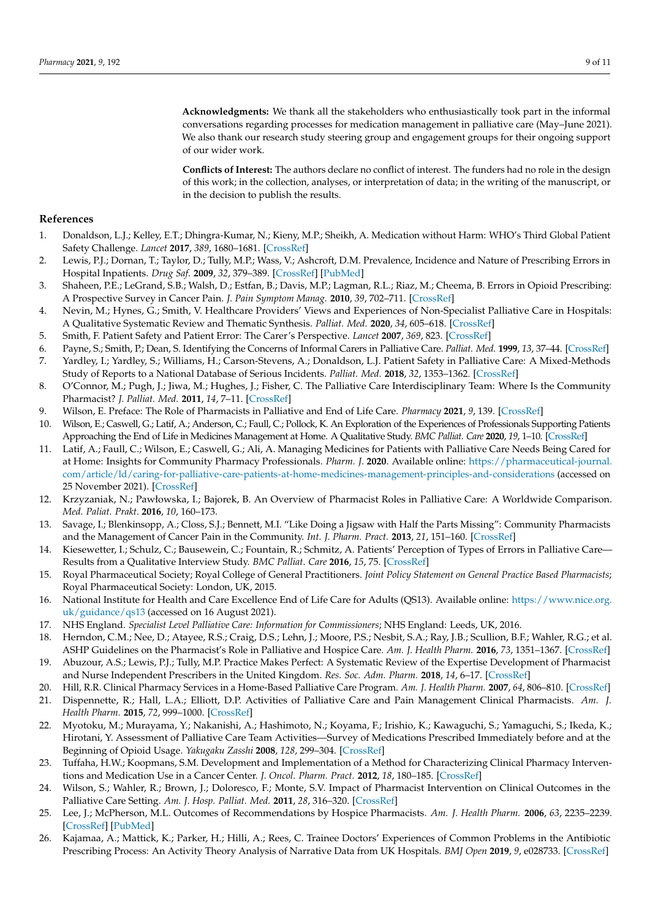**Acknowledgments:** We thank all the stakeholders who enthusiastically took part in the informal conversations regarding processes for medication management in palliative care (May–June 2021). We also thank our research study steering group and engagement groups for their ongoing support of our wider work.

**Conflicts of Interest:** The authors declare no conflict of interest. The funders had no role in the design of this work; in the collection, analyses, or interpretation of data; in the writing of the manuscript, or in the decision to publish the results.

#### **References**

- <span id="page-8-0"></span>1. Donaldson, L.J.; Kelley, E.T.; Dhingra-Kumar, N.; Kieny, M.P.; Sheikh, A. Medication without Harm: WHO's Third Global Patient Safety Challenge. *Lancet* **2017**, *389*, 1680–1681. [\[CrossRef\]](http://doi.org/10.1016/S0140-6736(17)31047-4)
- <span id="page-8-1"></span>2. Lewis, P.J.; Dornan, T.; Taylor, D.; Tully, M.P.; Wass, V.; Ashcroft, D.M. Prevalence, Incidence and Nature of Prescribing Errors in Hospital Inpatients. *Drug Saf.* **2009**, *32*, 379–389. [\[CrossRef\]](http://doi.org/10.2165/00002018-200932050-00002) [\[PubMed\]](http://www.ncbi.nlm.nih.gov/pubmed/19419233)
- <span id="page-8-2"></span>3. Shaheen, P.E.; LeGrand, S.B.; Walsh, D.; Estfan, B.; Davis, M.P.; Lagman, R.L.; Riaz, M.; Cheema, B. Errors in Opioid Prescribing: A Prospective Survey in Cancer Pain. *J. Pain Symptom Manag.* **2010**, *39*, 702–711. [\[CrossRef\]](http://doi.org/10.1016/j.jpainsymman.2009.09.009)
- <span id="page-8-3"></span>4. Nevin, M.; Hynes, G.; Smith, V. Healthcare Providers' Views and Experiences of Non-Specialist Palliative Care in Hospitals: A Qualitative Systematic Review and Thematic Synthesis. *Palliat. Med.* **2020**, *34*, 605–618. [\[CrossRef\]](http://doi.org/10.1177/0269216319899335)
- <span id="page-8-4"></span>5. Smith, F. Patient Safety and Patient Error: The Carer's Perspective. *Lancet* **2007**, *369*, 823. [\[CrossRef\]](http://doi.org/10.1016/S0140-6736(07)60402-4)
- <span id="page-8-5"></span>6. Payne, S.; Smith, P.; Dean, S. Identifying the Concerns of Informal Carers in Palliative Care. *Palliat. Med.* **1999**, *13*, 37–44. [\[CrossRef\]](http://doi.org/10.1191/026921699673763725)
- <span id="page-8-6"></span>7. Yardley, I.; Yardley, S.; Williams, H.; Carson-Stevens, A.; Donaldson, L.J. Patient Safety in Palliative Care: A Mixed-Methods Study of Reports to a National Database of Serious Incidents. *Palliat. Med.* **2018**, *32*, 1353–1362. [\[CrossRef\]](http://doi.org/10.1177/0269216318776846)
- <span id="page-8-7"></span>8. O'Connor, M.; Pugh, J.; Jiwa, M.; Hughes, J.; Fisher, C. The Palliative Care Interdisciplinary Team: Where Is the Community Pharmacist? *J. Palliat. Med.* **2011**, *14*, 7–11. [\[CrossRef\]](http://doi.org/10.1089/jpm.2010.0369)
- 9. Wilson, E. Preface: The Role of Pharmacists in Palliative and End of Life Care. *Pharmacy* **2021**, *9*, 139. [\[CrossRef\]](http://doi.org/10.3390/pharmacy9030139)
- 10. Wilson, E.; Caswell, G.; Latif, A.; Anderson, C.; Faull, C.; Pollock, K. An Exploration of the Experiences of Professionals Supporting Patients Approaching the End of Life in Medicines Management at Home. A Qualitative Study. *BMC Palliat. Care* **2020**, *19*, 1–10. [\[CrossRef\]](http://doi.org/10.1186/s12904-020-0537-z)
- 11. Latif, A.; Faull, C.; Wilson, E.; Caswell, G.; Ali, A. Managing Medicines for Patients with Palliative Care Needs Being Cared for at Home: Insights for Community Pharmacy Professionals. *Pharm. J.* **2020**. Available online: [https://pharmaceutical-journal.](https://pharmaceutical-journal.com/article/ld/caring-for-palliative-care-patients-at-home-medicines-management-principles-and-considerations) [com/article/ld/caring-for-palliative-care-patients-at-home-medicines-management-principles-and-considerations](https://pharmaceutical-journal.com/article/ld/caring-for-palliative-care-patients-at-home-medicines-management-principles-and-considerations) (accessed on 25 November 2021). [\[CrossRef\]](http://doi.org/10.1211/PJ.2020.20207954)
- 12. Krzyzaniak, N.; Pawłowska, I.; Bajorek, B. An Overview of Pharmacist Roles in Palliative Care: A Worldwide Comparison. *Med. Paliat. Prakt.* **2016**, *10*, 160–173.
- <span id="page-8-8"></span>13. Savage, I.; Blenkinsopp, A.; Closs, S.J.; Bennett, M.I. "Like Doing a Jigsaw with Half the Parts Missing": Community Pharmacists and the Management of Cancer Pain in the Community. *Int. J. Pharm. Pract.* **2013**, *21*, 151–160. [\[CrossRef\]](http://doi.org/10.1111/j.2042-7174.2012.00245.x)
- <span id="page-8-9"></span>14. Kiesewetter, I.; Schulz, C.; Bausewein, C.; Fountain, R.; Schmitz, A. Patients' Perception of Types of Errors in Palliative Care— Results from a Qualitative Interview Study. *BMC Palliat. Care* **2016**, *15*, 75. [\[CrossRef\]](http://doi.org/10.1186/s12904-016-0141-4)
- <span id="page-8-10"></span>15. Royal Pharmaceutical Society; Royal College of General Practitioners. *Joint Policy Statement on General Practice Based Pharmacists*; Royal Pharmaceutical Society: London, UK, 2015.
- <span id="page-8-11"></span>16. National Institute for Health and Care Excellence End of Life Care for Adults (QS13). Available online: [https://www.nice.org.](https://www.nice.org.uk/guidance/qs13) [uk/guidance/qs13](https://www.nice.org.uk/guidance/qs13) (accessed on 16 August 2021).
- <span id="page-8-12"></span>17. NHS England. *Specialist Level Palliative Care: Information for Commissioners*; NHS England: Leeds, UK, 2016.
- <span id="page-8-13"></span>18. Herndon, C.M.; Nee, D.; Atayee, R.S.; Craig, D.S.; Lehn, J.; Moore, P.S.; Nesbit, S.A.; Ray, J.B.; Scullion, B.F.; Wahler, R.G.; et al. ASHP Guidelines on the Pharmacist's Role in Palliative and Hospice Care. *Am. J. Health Pharm.* **2016**, *73*, 1351–1367. [\[CrossRef\]](http://doi.org/10.2146/ajhp160244)
- <span id="page-8-14"></span>19. Abuzour, A.S.; Lewis, P.J.; Tully, M.P. Practice Makes Perfect: A Systematic Review of the Expertise Development of Pharmacist and Nurse Independent Prescribers in the United Kingdom. *Res. Soc. Adm. Pharm.* **2018**, *14*, 6–17. [\[CrossRef\]](http://doi.org/10.1016/j.sapharm.2017.02.002)
- 20. Hill, R.R. Clinical Pharmacy Services in a Home-Based Palliative Care Program. *Am. J. Health Pharm.* **2007**, *64*, 806–810. [\[CrossRef\]](http://doi.org/10.2146/ajhp060124)
- 21. Dispennette, R.; Hall, L.A.; Elliott, D.P. Activities of Palliative Care and Pain Management Clinical Pharmacists. *Am. J. Health Pharm.* **2015**, *72*, 999–1000. [\[CrossRef\]](http://doi.org/10.2146/ajhp140614)
- 22. Myotoku, M.; Murayama, Y.; Nakanishi, A.; Hashimoto, N.; Koyama, F.; Irishio, K.; Kawaguchi, S.; Yamaguchi, S.; Ikeda, K.; Hirotani, Y. Assessment of Palliative Care Team Activities—Survey of Medications Prescribed Immediately before and at the Beginning of Opioid Usage. *Yakugaku Zasshi* **2008**, *128*, 299–304. [\[CrossRef\]](http://doi.org/10.1248/yakushi.128.299)
- 23. Tuffaha, H.W.; Koopmans, S.M. Development and Implementation of a Method for Characterizing Clinical Pharmacy Interventions and Medication Use in a Cancer Center. *J. Oncol. Pharm. Pract.* **2012**, *18*, 180–185. [\[CrossRef\]](http://doi.org/10.1177/1078155211416529)
- 24. Wilson, S.; Wahler, R.; Brown, J.; Doloresco, F.; Monte, S.V. Impact of Pharmacist Intervention on Clinical Outcomes in the Palliative Care Setting. *Am. J. Hosp. Palliat. Med.* **2011**, *28*, 316–320. [\[CrossRef\]](http://doi.org/10.1177/1049909110391080)
- <span id="page-8-15"></span>25. Lee, J.; McPherson, M.L. Outcomes of Recommendations by Hospice Pharmacists. *Am. J. Health Pharm.* **2006**, *63*, 2235–2239. [\[CrossRef\]](http://doi.org/10.2146/ajhp060143) [\[PubMed\]](http://www.ncbi.nlm.nih.gov/pubmed/17090744)
- <span id="page-8-16"></span>26. Kajamaa, A.; Mattick, K.; Parker, H.; Hilli, A.; Rees, C. Trainee Doctors' Experiences of Common Problems in the Antibiotic Prescribing Process: An Activity Theory Analysis of Narrative Data from UK Hospitals. *BMJ Open* **2019**, *9*, e028733. [\[CrossRef\]](http://doi.org/10.1136/bmjopen-2018-028733)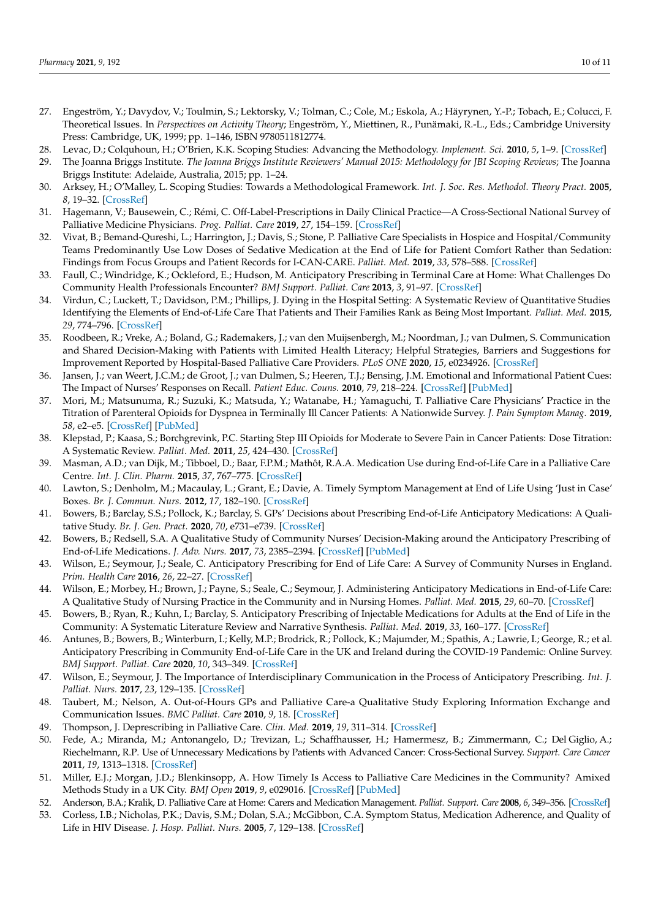- <span id="page-9-0"></span>27. Engeström, Y.; Davydov, V.; Toulmin, S.; Lektorsky, V.; Tolman, C.; Cole, M.; Eskola, A.; Häyrynen, Y.-P.; Tobach, E.; Colucci, F. Theoretical Issues. In *Perspectives on Activity Theory*; Engeström, Y., Miettinen, R., Punämaki, R.-L., Eds.; Cambridge University Press: Cambridge, UK, 1999; pp. 1–146, ISBN 9780511812774.
- <span id="page-9-1"></span>28. Levac, D.; Colquhoun, H.; O'Brien, K.K. Scoping Studies: Advancing the Methodology. *Implement. Sci.* **2010**, *5*, 1–9. [\[CrossRef\]](http://doi.org/10.1186/1748-5908-5-69)
- 29. The Joanna Briggs Institute. *The Joanna Briggs Institute Reviewers' Manual 2015: Methodology for JBI Scoping Reviews*; The Joanna Briggs Institute: Adelaide, Australia, 2015; pp. 1–24.
- <span id="page-9-2"></span>30. Arksey, H.; O'Malley, L. Scoping Studies: Towards a Methodological Framework. *Int. J. Soc. Res. Methodol. Theory Pract.* **2005**, *8*, 19–32. [\[CrossRef\]](http://doi.org/10.1080/1364557032000119616)
- <span id="page-9-3"></span>31. Hagemann, V.; Bausewein, C.; Rémi, C. Off-Label-Prescriptions in Daily Clinical Practice—A Cross-Sectional National Survey of Palliative Medicine Physicians. *Prog. Palliat. Care* **2019**, *27*, 154–159. [\[CrossRef\]](http://doi.org/10.1080/09699260.2019.1646048)
- <span id="page-9-4"></span>32. Vivat, B.; Bemand-Qureshi, L.; Harrington, J.; Davis, S.; Stone, P. Palliative Care Specialists in Hospice and Hospital/Community Teams Predominantly Use Low Doses of Sedative Medication at the End of Life for Patient Comfort Rather than Sedation: Findings from Focus Groups and Patient Records for I-CAN-CARE. *Palliat. Med.* **2019**, *33*, 578–588. [\[CrossRef\]](http://doi.org/10.1177/0269216319826007)
- <span id="page-9-5"></span>33. Faull, C.; Windridge, K.; Ockleford, E.; Hudson, M. Anticipatory Prescribing in Terminal Care at Home: What Challenges Do Community Health Professionals Encounter? *BMJ Support. Palliat. Care* **2013**, *3*, 91–97. [\[CrossRef\]](http://doi.org/10.1136/bmjspcare-2012-000193)
- <span id="page-9-6"></span>34. Virdun, C.; Luckett, T.; Davidson, P.M.; Phillips, J. Dying in the Hospital Setting: A Systematic Review of Quantitative Studies Identifying the Elements of End-of-Life Care That Patients and Their Families Rank as Being Most Important. *Palliat. Med.* **2015**, *29*, 774–796. [\[CrossRef\]](http://doi.org/10.1177/0269216315583032)
- <span id="page-9-7"></span>35. Roodbeen, R.; Vreke, A.; Boland, G.; Rademakers, J.; van den Muijsenbergh, M.; Noordman, J.; van Dulmen, S. Communication and Shared Decision-Making with Patients with Limited Health Literacy; Helpful Strategies, Barriers and Suggestions for Improvement Reported by Hospital-Based Palliative Care Providers. *PLoS ONE* **2020**, *15*, e0234926. [\[CrossRef\]](http://doi.org/10.1371/journal.pone.0234926)
- <span id="page-9-8"></span>36. Jansen, J.; van Weert, J.C.M.; de Groot, J.; van Dulmen, S.; Heeren, T.J.; Bensing, J.M. Emotional and Informational Patient Cues: The Impact of Nurses' Responses on Recall. *Patient Educ. Couns.* **2010**, *79*, 218–224. [\[CrossRef\]](http://doi.org/10.1016/j.pec.2009.10.010) [\[PubMed\]](http://www.ncbi.nlm.nih.gov/pubmed/20005066)
- <span id="page-9-9"></span>37. Mori, M.; Matsunuma, R.; Suzuki, K.; Matsuda, Y.; Watanabe, H.; Yamaguchi, T. Palliative Care Physicians' Practice in the Titration of Parenteral Opioids for Dyspnea in Terminally Ill Cancer Patients: A Nationwide Survey. *J. Pain Symptom Manag.* **2019**, *58*, e2–e5. [\[CrossRef\]](http://doi.org/10.1016/j.jpainsymman.2019.04.007) [\[PubMed\]](http://www.ncbi.nlm.nih.gov/pubmed/30999067)
- 38. Klepstad, P.; Kaasa, S.; Borchgrevink, P.C. Starting Step III Opioids for Moderate to Severe Pain in Cancer Patients: Dose Titration: A Systematic Review. *Palliat. Med.* **2011**, *25*, 424–430. [\[CrossRef\]](http://doi.org/10.1177/0269216310386280)
- <span id="page-9-10"></span>39. Masman, A.D.; van Dijk, M.; Tibboel, D.; Baar, F.P.M.; Mathôt, R.A.A. Medication Use during End-of-Life Care in a Palliative Care Centre. *Int. J. Clin. Pharm.* **2015**, *37*, 767–775. [\[CrossRef\]](http://doi.org/10.1007/s11096-015-0094-3)
- <span id="page-9-11"></span>40. Lawton, S.; Denholm, M.; Macaulay, L.; Grant, E.; Davie, A. Timely Symptom Management at End of Life Using 'Just in Case' Boxes. *Br. J. Commun. Nurs.* **2012**, *17*, 182–190. [\[CrossRef\]](http://doi.org/10.12968/bjcn.2012.17.4.182)
- 41. Bowers, B.; Barclay, S.S.; Pollock, K.; Barclay, S. GPs' Decisions about Prescribing End-of-Life Anticipatory Medications: A Qualitative Study. *Br. J. Gen. Pract.* **2020**, *70*, e731–e739. [\[CrossRef\]](http://doi.org/10.3399/bjgp20X712625)
- 42. Bowers, B.; Redsell, S.A. A Qualitative Study of Community Nurses' Decision-Making around the Anticipatory Prescribing of End-of-Life Medications. *J. Adv. Nurs.* **2017**, *73*, 2385–2394. [\[CrossRef\]](http://doi.org/10.1111/jan.13319) [\[PubMed\]](http://www.ncbi.nlm.nih.gov/pubmed/28423478)
- 43. Wilson, E.; Seymour, J.; Seale, C. Anticipatory Prescribing for End of Life Care: A Survey of Community Nurses in England. *Prim. Health Care* **2016**, *26*, 22–27. [\[CrossRef\]](http://doi.org/10.7748/phc.2016.e1151)
- <span id="page-9-17"></span>44. Wilson, E.; Morbey, H.; Brown, J.; Payne, S.; Seale, C.; Seymour, J. Administering Anticipatory Medications in End-of-Life Care: A Qualitative Study of Nursing Practice in the Community and in Nursing Homes. *Palliat. Med.* **2015**, *29*, 60–70. [\[CrossRef\]](http://doi.org/10.1177/0269216314543042)
- 45. Bowers, B.; Ryan, R.; Kuhn, I.; Barclay, S. Anticipatory Prescribing of Injectable Medications for Adults at the End of Life in the Community: A Systematic Literature Review and Narrative Synthesis. *Palliat. Med.* **2019**, *33*, 160–177. [\[CrossRef\]](http://doi.org/10.1177/0269216318815796)
- <span id="page-9-20"></span>46. Antunes, B.; Bowers, B.; Winterburn, I.; Kelly, M.P.; Brodrick, R.; Pollock, K.; Majumder, M.; Spathis, A.; Lawrie, I.; George, R.; et al. Anticipatory Prescribing in Community End-of-Life Care in the UK and Ireland during the COVID-19 Pandemic: Online Survey. *BMJ Support. Palliat. Care* **2020**, *10*, 343–349. [\[CrossRef\]](http://doi.org/10.1136/bmjspcare-2020-002394)
- <span id="page-9-12"></span>47. Wilson, E.; Seymour, J. The Importance of Interdisciplinary Communication in the Process of Anticipatory Prescribing. *Int. J. Palliat. Nurs.* **2017**, *23*, 129–135. [\[CrossRef\]](http://doi.org/10.12968/ijpn.2017.23.3.129)
- <span id="page-9-13"></span>48. Taubert, M.; Nelson, A. Out-of-Hours GPs and Palliative Care-a Qualitative Study Exploring Information Exchange and Communication Issues. *BMC Palliat. Care* **2010**, *9*, 18. [\[CrossRef\]](http://doi.org/10.1186/1472-684X-9-18)
- <span id="page-9-14"></span>49. Thompson, J. Deprescribing in Palliative Care. *Clin. Med.* **2019**, *19*, 311–314. [\[CrossRef\]](http://doi.org/10.7861/clinmedicine.19-4-311)
- <span id="page-9-15"></span>50. Fede, A.; Miranda, M.; Antonangelo, D.; Trevizan, L.; Schaffhausser, H.; Hamermesz, B.; Zimmermann, C.; Del Giglio, A.; Riechelmann, R.P. Use of Unnecessary Medications by Patients with Advanced Cancer: Cross-Sectional Survey. *Support. Care Cancer* **2011**, *19*, 1313–1318. [\[CrossRef\]](http://doi.org/10.1007/s00520-010-0947-1)
- <span id="page-9-16"></span>51. Miller, E.J.; Morgan, J.D.; Blenkinsopp, A. How Timely Is Access to Palliative Care Medicines in the Community? Amixed Methods Study in a UK City. *BMJ Open* **2019**, *9*, e029016. [\[CrossRef\]](http://doi.org/10.1136/bmjopen-2019-029016) [\[PubMed\]](http://www.ncbi.nlm.nih.gov/pubmed/31767580)
- <span id="page-9-18"></span>52. Anderson, B.A.; Kralik, D. Palliative Care at Home: Carers and Medication Management. *Palliat. Support. Care* **2008**, *6*, 349–356. [\[CrossRef\]](http://doi.org/10.1017/S1478951508000552)
- <span id="page-9-19"></span>53. Corless, I.B.; Nicholas, P.K.; Davis, S.M.; Dolan, S.A.; McGibbon, C.A. Symptom Status, Medication Adherence, and Quality of Life in HIV Disease. *J. Hosp. Palliat. Nurs.* **2005**, *7*, 129–138. [\[CrossRef\]](http://doi.org/10.1097/00129191-200505000-00005)